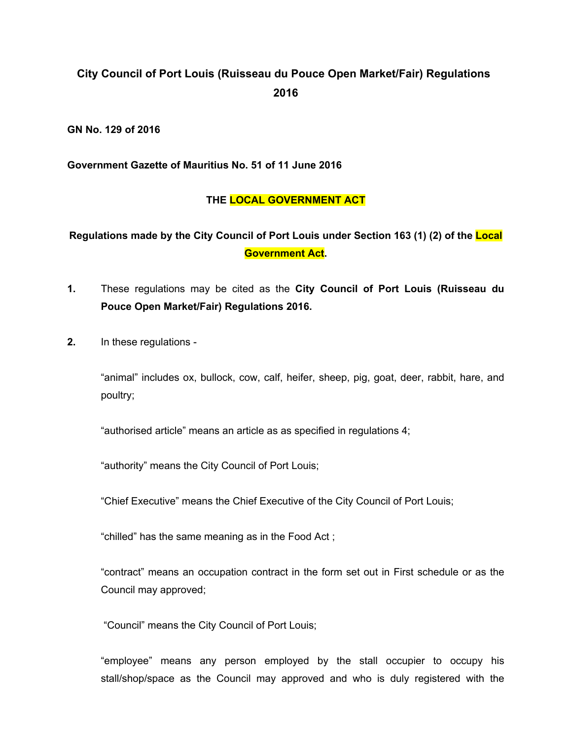# **City Council of Port Louis (Ruisseau du Pouce Open Market/Fair) Regulations 2016**

**GN No. 129 of 2016**

**Government Gazette of Mauritius No. 51 of 11 June 2016**

## **THE LOCAL GOVERNMENT ACT**

# **Regulations made by the City Council of Port Louis under Section 163 (1) (2) of the Local Government Act.**

- **1.** These regulations may be cited as the **City Council of Port Louis (Ruisseau du Pouce Open Market/Fair) Regulations 2016.**
- **2.** In these regulations -

"animal" includes ox, bullock, cow, calf, heifer, sheep, pig, goat, deer, rabbit, hare, and poultry;

"authorised article" means an article as as specified in regulations 4;

"authority" means the City Council of Port Louis;

"Chief Executive" means the Chief Executive of the City Council of Port Louis;

"chilled" has the same meaning as in the Food Act ;

"contract" means an occupation contract in the form set out in First schedule or as the Council may approved;

"Council" means the City Council of Port Louis;

"employee" means any person employed by the stall occupier to occupy his stall/shop/space as the Council may approved and who is duly registered with the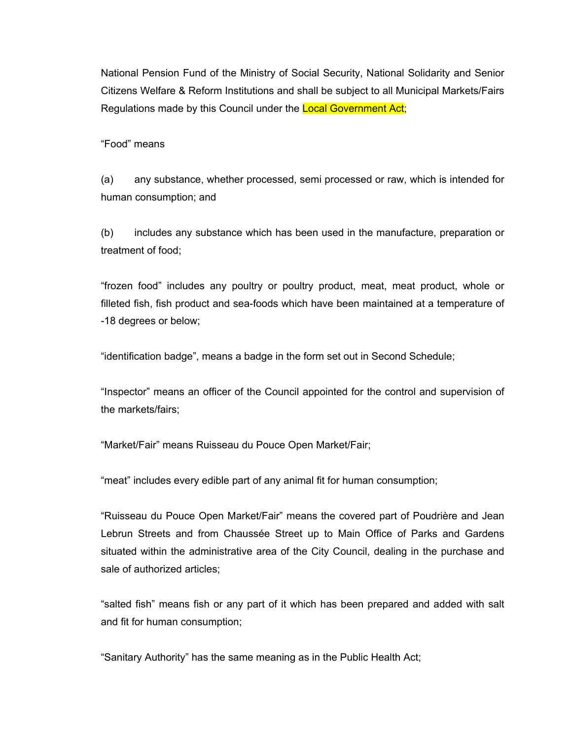National Pension Fund of the Ministry of Social Security, National Solidarity and Senior Citizens Welfare & Reform Institutions and shall be subject to all Municipal Markets/Fairs Regulations made by this Council under the Local Government Act;

"Food" means

(a) any substance, whether processed, semi processed or raw, which is intended for human consumption; and

(b) includes any substance which has been used in the manufacture, preparation or treatment of food;

"frozen food" includes any poultry or poultry product, meat, meat product, whole or filleted fish, fish product and sea-foods which have been maintained at a temperature of -18 degrees or below;

"identification badge", means a badge in the form set out in Second Schedule;

"Inspector" means an officer of the Council appointed for the control and supervision of the markets/fairs;

"Market/Fair" means Ruisseau du Pouce Open Market/Fair;

"meat" includes every edible part of any animal fit for human consumption;

"Ruisseau du Pouce Open Market/Fair" means the covered part of Poudrière and Jean Lebrun Streets and from Chaussée Street up to Main Office of Parks and Gardens situated within the administrative area of the City Council, dealing in the purchase and sale of authorized articles;

"salted fish" means fish or any part of it which has been prepared and added with salt and fit for human consumption;

"Sanitary Authority" has the same meaning as in the Public Health Act;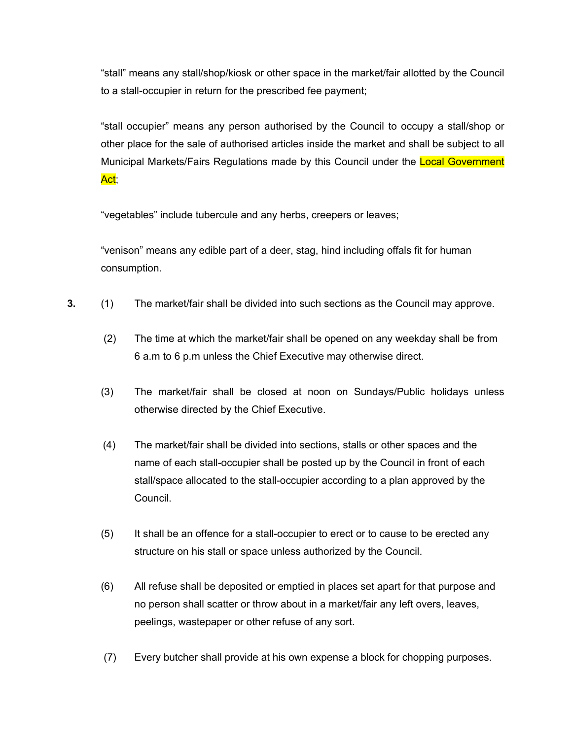"stall" means any stall/shop/kiosk or other space in the market/fair allotted by the Council to a stall-occupier in return for the prescribed fee payment;

"stall occupier" means any person authorised by the Council to occupy a stall/shop or other place for the sale of authorised articles inside the market and shall be subject to all Municipal Markets/Fairs Regulations made by this Council under the Local Government Act;

"vegetables" include tubercule and any herbs, creepers or leaves;

"venison" means any edible part of a deer, stag, hind including offals fit for human consumption.

- **3.** (1) The market/fair shall be divided into such sections as the Council may approve.
	- (2) The time at which the market/fair shall be opened on any weekday shall be from 6 a.m to 6 p.m unless the Chief Executive may otherwise direct.
	- (3) The market/fair shall be closed at noon on Sundays/Public holidays unless otherwise directed by the Chief Executive.
	- (4) The market/fair shall be divided into sections, stalls or other spaces and the name of each stall-occupier shall be posted up by the Council in front of each stall/space allocated to the stall-occupier according to a plan approved by the Council.
	- (5) It shall be an offence for a stall-occupier to erect or to cause to be erected any structure on his stall or space unless authorized by the Council.
	- (6) All refuse shall be deposited or emptied in places set apart for that purpose and no person shall scatter or throw about in a market/fair any left overs, leaves, peelings, wastepaper or other refuse of any sort.
	- (7) Every butcher shall provide at his own expense a block for chopping purposes.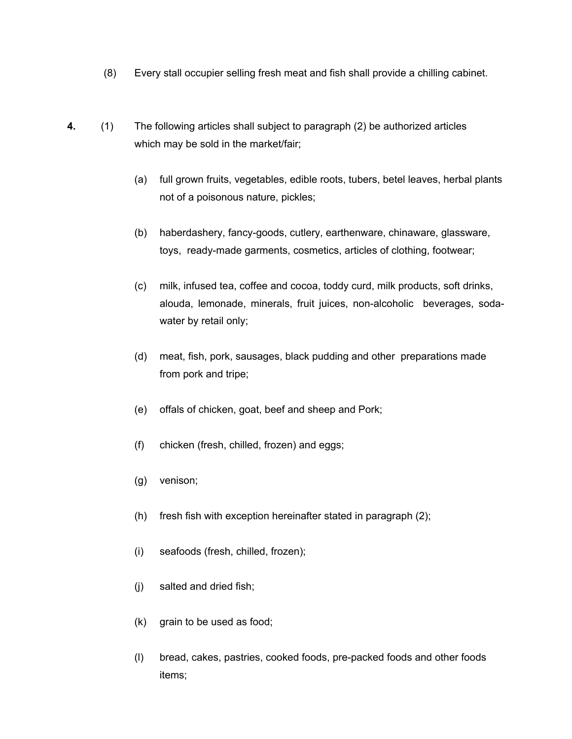- (8) Every stall occupier selling fresh meat and fish shall provide a chilling cabinet.
- **4.** (1) The following articles shall subject to paragraph (2) be authorized articles which may be sold in the market/fair;
	- (a) full grown fruits, vegetables, edible roots, tubers, betel leaves, herbal plants not of a poisonous nature, pickles;
	- (b) haberdashery, fancy-goods, cutlery, earthenware, chinaware, glassware, toys, ready-made garments, cosmetics, articles of clothing, footwear;
	- (c) milk, infused tea, coffee and cocoa, toddy curd, milk products, soft drinks, alouda, lemonade, minerals, fruit juices, non-alcoholic beverages, sodawater by retail only;
	- (d) meat, fish, pork, sausages, black pudding and other preparations made from pork and tripe;
	- (e) offals of chicken, goat, beef and sheep and Pork;
	- (f) chicken (fresh, chilled, frozen) and eggs;
	- (g) venison;
	- (h) fresh fish with exception hereinafter stated in paragraph (2);
	- (i) seafoods (fresh, chilled, frozen);
	- (j) salted and dried fish;
	- (k) grain to be used as food;
	- (l) bread, cakes, pastries, cooked foods, pre-packed foods and other foods items;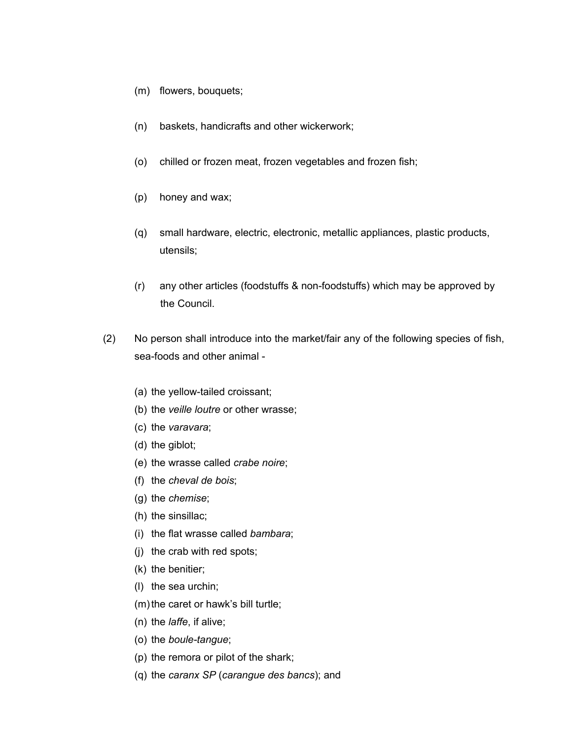- (m) flowers, bouquets;
- (n) baskets, handicrafts and other wickerwork;
- (o) chilled or frozen meat, frozen vegetables and frozen fish;
- (p) honey and wax;
- (q) small hardware, electric, electronic, metallic appliances, plastic products, utensils;
- (r) any other articles (foodstuffs & non-foodstuffs) which may be approved by the Council.
- (2) No person shall introduce into the market/fair any of the following species of fish, sea-foods and other animal -
	- (a) the yellow-tailed croissant;
	- (b) the *veille loutre* or other wrasse;
	- (c) the *varavara*;
	- (d) the giblot;
	- (e) the wrasse called *crabe noire*;
	- (f) the *cheval de bois*;
	- (g) the *chemise*;
	- (h) the sinsillac;
	- (i) the flat wrasse called *bambara*;
	- (j) the crab with red spots;
	- (k) the benitier;
	- (l) the sea urchin;
	- (m) the caret or hawk's bill turtle;
	- (n) the *laffe*, if alive;
	- (o) the *boule-tangue*;
	- (p) the remora or pilot of the shark;
	- (q) the *caranx SP* (*carangue des bancs*); and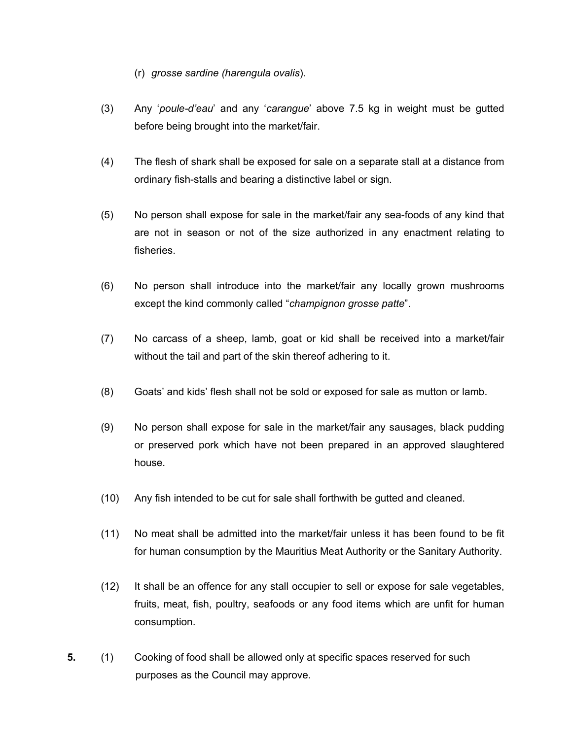- (r) *grosse sardine (harengula ovalis*).
- (3) Any '*poule-d'eau*' and any '*carangue*' above 7.5 kg in weight must be gutted before being brought into the market/fair.
- (4) The flesh of shark shall be exposed for sale on a separate stall at a distance from ordinary fish-stalls and bearing a distinctive label or sign.
- (5) No person shall expose for sale in the market/fair any sea-foods of any kind that are not in season or not of the size authorized in any enactment relating to fisheries.
- (6) No person shall introduce into the market/fair any locally grown mushrooms except the kind commonly called "*champignon grosse patte*".
- (7) No carcass of a sheep, lamb, goat or kid shall be received into a market/fair without the tail and part of the skin thereof adhering to it.
- (8) Goats' and kids' flesh shall not be sold or exposed for sale as mutton or lamb.
- (9) No person shall expose for sale in the market/fair any sausages, black pudding or preserved pork which have not been prepared in an approved slaughtered house.
- (10) Any fish intended to be cut for sale shall forthwith be gutted and cleaned.
- (11) No meat shall be admitted into the market/fair unless it has been found to be fit for human consumption by the Mauritius Meat Authority or the Sanitary Authority.
- (12) It shall be an offence for any stall occupier to sell or expose for sale vegetables, fruits, meat, fish, poultry, seafoods or any food items which are unfit for human consumption.
- **5.** (1) Cooking of food shall be allowed only at specific spaces reserved for such purposes as the Council may approve.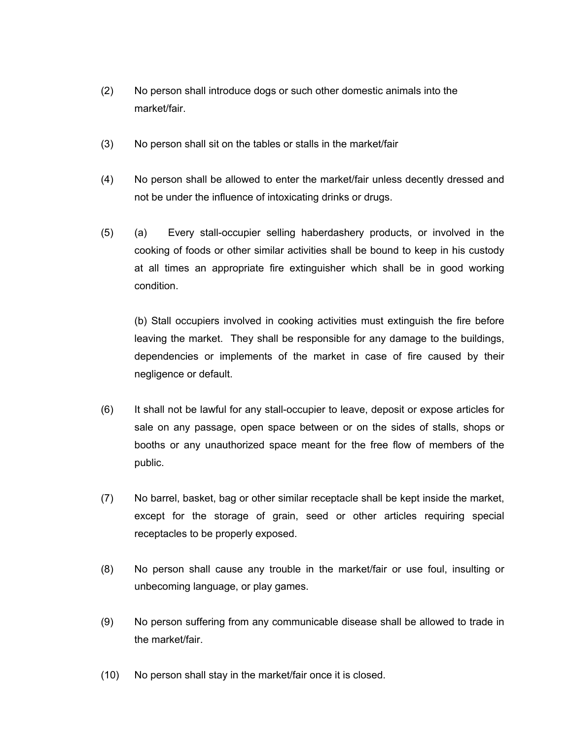- (2) No person shall introduce dogs or such other domestic animals into the market/fair.
- (3) No person shall sit on the tables or stalls in the market/fair
- (4) No person shall be allowed to enter the market/fair unless decently dressed and not be under the influence of intoxicating drinks or drugs.
- (5) (a) Every stall-occupier selling haberdashery products, or involved in the cooking of foods or other similar activities shall be bound to keep in his custody at all times an appropriate fire extinguisher which shall be in good working condition.

(b) Stall occupiers involved in cooking activities must extinguish the fire before leaving the market. They shall be responsible for any damage to the buildings, dependencies or implements of the market in case of fire caused by their negligence or default.

- (6) It shall not be lawful for any stall-occupier to leave, deposit or expose articles for sale on any passage, open space between or on the sides of stalls, shops or booths or any unauthorized space meant for the free flow of members of the public.
- (7) No barrel, basket, bag or other similar receptacle shall be kept inside the market, except for the storage of grain, seed or other articles requiring special receptacles to be properly exposed.
- (8) No person shall cause any trouble in the market/fair or use foul, insulting or unbecoming language, or play games.
- (9) No person suffering from any communicable disease shall be allowed to trade in the market/fair.
- (10) No person shall stay in the market/fair once it is closed.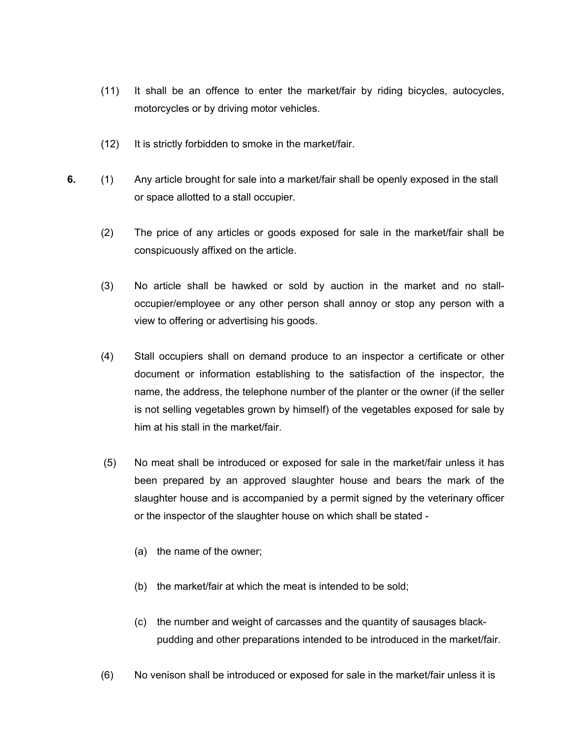- (11) It shall be an offence to enter the market/fair by riding bicycles, autocycles, motorcycles or by driving motor vehicles.
- (12) It is strictly forbidden to smoke in the market/fair.
- **6.** (1) Any article brought for sale into a market/fair shall be openly exposed in the stall or space allotted to a stall occupier.
	- (2) The price of any articles or goods exposed for sale in the market/fair shall be conspicuously affixed on the article.
	- (3) No article shall be hawked or sold by auction in the market and no stalloccupier/employee or any other person shall annoy or stop any person with a view to offering or advertising his goods.
	- (4) Stall occupiers shall on demand produce to an inspector a certificate or other document or information establishing to the satisfaction of the inspector, the name, the address, the telephone number of the planter or the owner (if the seller is not selling vegetables grown by himself) of the vegetables exposed for sale by him at his stall in the market/fair.
	- (5) No meat shall be introduced or exposed for sale in the market/fair unless it has been prepared by an approved slaughter house and bears the mark of the slaughter house and is accompanied by a permit signed by the veterinary officer or the inspector of the slaughter house on which shall be stated -
		- (a) the name of the owner;
		- (b) the market/fair at which the meat is intended to be sold;
		- (c) the number and weight of carcasses and the quantity of sausages black pudding and other preparations intended to be introduced in the market/fair.
	- (6) No venison shall be introduced or exposed for sale in the market/fair unless it is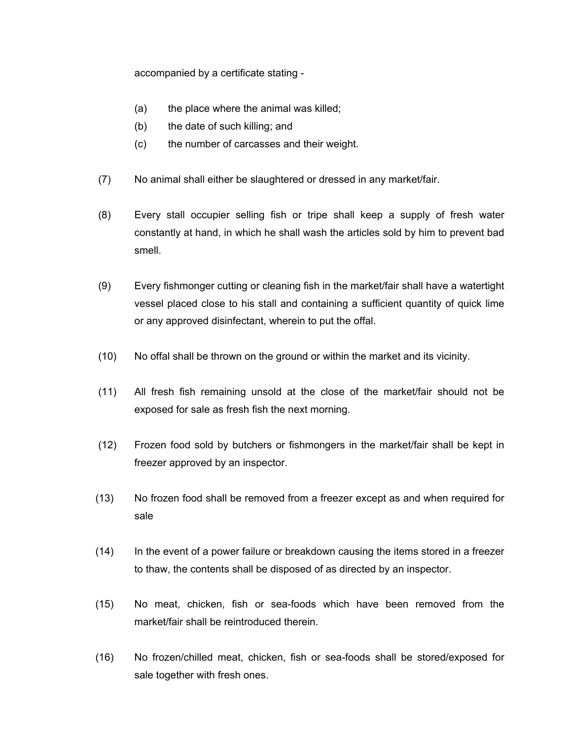accompanied by a certificate stating -

- (a) the place where the animal was killed;
- (b) the date of such killing; and
- (c) the number of carcasses and their weight.
- (7) No animal shall either be slaughtered or dressed in any market/fair.
- (8) Every stall occupier selling fish or tripe shall keep a supply of fresh water constantly at hand, in which he shall wash the articles sold by him to prevent bad smell.
- (9) Every fishmonger cutting or cleaning fish in the market/fair shall have a watertight vessel placed close to his stall and containing a sufficient quantity of quick lime or any approved disinfectant, wherein to put the offal.
- (10) No offal shall be thrown on the ground or within the market and its vicinity.
- (11) All fresh fish remaining unsold at the close of the market/fair should not be exposed for sale as fresh fish the next morning.
- (12) Frozen food sold by butchers or fishmongers in the market/fair shall be kept in freezer approved by an inspector.
- (13) No frozen food shall be removed from a freezer except as and when required for sale
- (14) In the event of a power failure or breakdown causing the items stored in a freezer to thaw, the contents shall be disposed of as directed by an inspector.
- (15) No meat, chicken, fish or sea-foods which have been removed from the market/fair shall be reintroduced therein.
- (16) No frozen/chilled meat, chicken, fish or sea-foods shall be stored/exposed for sale together with fresh ones.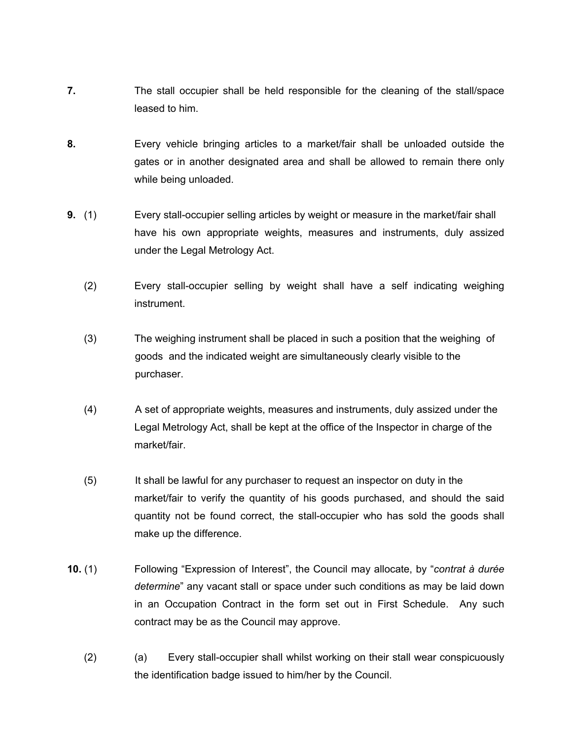- **7.** The stall occupier shall be held responsible for the cleaning of the stall/space leased to him.
- **8.** Every vehicle bringing articles to a market/fair shall be unloaded outside the gates or in another designated area and shall be allowed to remain there only while being unloaded.
- **9.** (1) Every stall-occupier selling articles by weight or measure in the market/fair shall have his own appropriate weights, measures and instruments, duly assized under the Legal Metrology Act.
	- (2) Every stall-occupier selling by weight shall have a self indicating weighing instrument.
	- (3) The weighing instrument shall be placed in such a position that the weighing of goods and the indicated weight are simultaneously clearly visible to the purchaser.
	- (4) A set of appropriate weights, measures and instruments, duly assized under the Legal Metrology Act, shall be kept at the office of the Inspector in charge of the market/fair.
	- (5) It shall be lawful for any purchaser to request an inspector on duty in the market/fair to verify the quantity of his goods purchased, and should the said quantity not be found correct, the stall-occupier who has sold the goods shall make up the difference.
- **10.** (1) Following "Expression of Interest", the Council may allocate, by "*contrat à durée determine*" any vacant stall or space under such conditions as may be laid down in an Occupation Contract in the form set out in First Schedule. Any such contract may be as the Council may approve.
	- (2) (a) Every stall-occupier shall whilst working on their stall wear conspicuously the identification badge issued to him/her by the Council.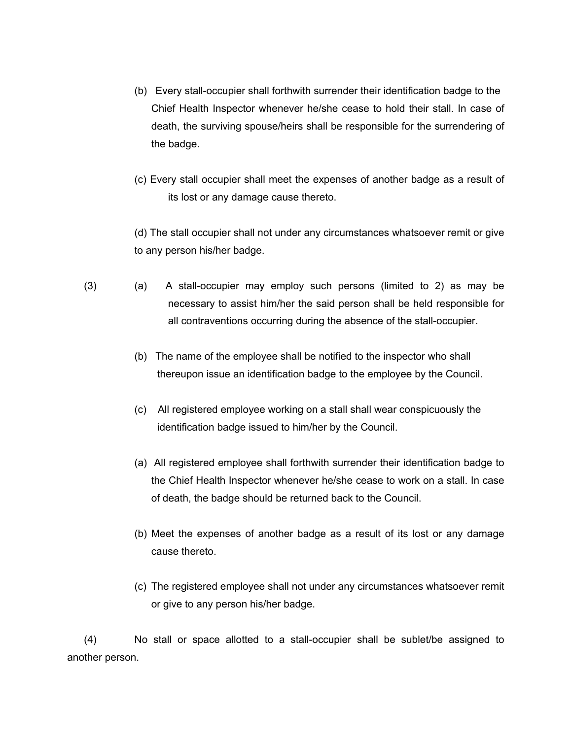- (b) Every stall-occupier shall forthwith surrender their identification badge to the Chief Health Inspector whenever he/she cease to hold their stall. In case of death, the surviving spouse/heirs shall be responsible for the surrendering of the badge.
- (c) Every stall occupier shall meet the expenses of another badge as a result of its lost or any damage cause thereto.

(d) The stall occupier shall not under any circumstances whatsoever remit or give to any person his/her badge.

- (3) (a) A stall-occupier may employ such persons (limited to 2) as may be necessary to assist him/her the said person shall be held responsible for all contraventions occurring during the absence of the stall-occupier.
	- (b) The name of the employee shall be notified to the inspector who shall thereupon issue an identification badge to the employee by the Council.
	- (c) All registered employee working on a stall shall wear conspicuously the identification badge issued to him/her by the Council.
	- (a) All registered employee shall forthwith surrender their identification badge to the Chief Health Inspector whenever he/she cease to work on a stall. In case of death, the badge should be returned back to the Council.
	- (b) Meet the expenses of another badge as a result of its lost or any damage cause thereto.
	- (c) The registered employee shall not under any circumstances whatsoever remit or give to any person his/her badge.

(4) No stall or space allotted to a stall-occupier shall be sublet/be assigned to another person.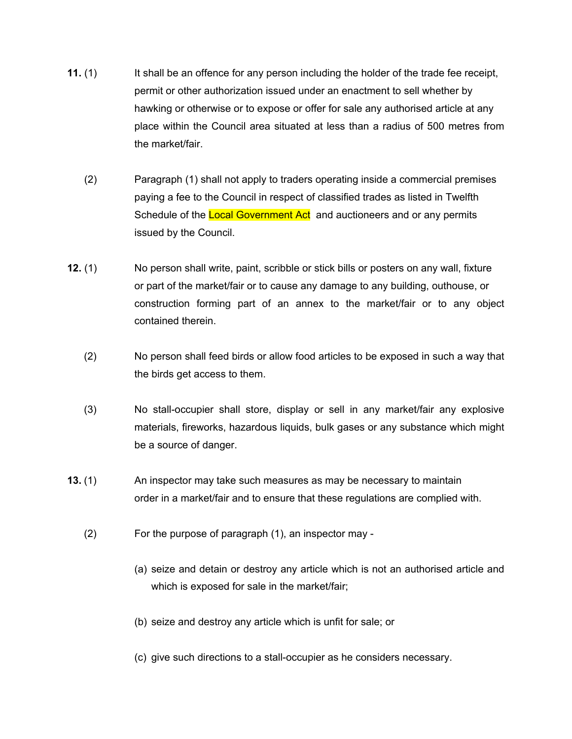- **11.** (1) It shall be an offence for any person including the holder of the trade fee receipt, permit or other authorization issued under an enactment to sell whether by hawking or otherwise or to expose or offer for sale any authorised article at any place within the Council area situated at less than a radius of 500 metres from the market/fair.
	- (2) Paragraph (1) shall not apply to traders operating inside a commercial premises paying a fee to the Council in respect of classified trades as listed in Twelfth Schedule of the Local Government Act and auctioneers and or any permits issued by the Council.
- **12.** (1) No person shall write, paint, scribble or stick bills or posters on any wall, fixture or part of the market/fair or to cause any damage to any building, outhouse, or construction forming part of an annex to the market/fair or to any object contained therein.
	- (2) No person shall feed birds or allow food articles to be exposed in such a way that the birds get access to them.
	- (3) No stall-occupier shall store, display or sell in any market/fair any explosive materials, fireworks, hazardous liquids, bulk gases or any substance which might be a source of danger.
- **13.** (1) An inspector may take such measures as may be necessary to maintain order in a market/fair and to ensure that these regulations are complied with.
	- (2) For the purpose of paragraph (1), an inspector may
		- (a) seize and detain or destroy any article which is not an authorised article and which is exposed for sale in the market/fair;
		- (b) seize and destroy any article which is unfit for sale; or
		- (c) give such directions to a stall-occupier as he considers necessary.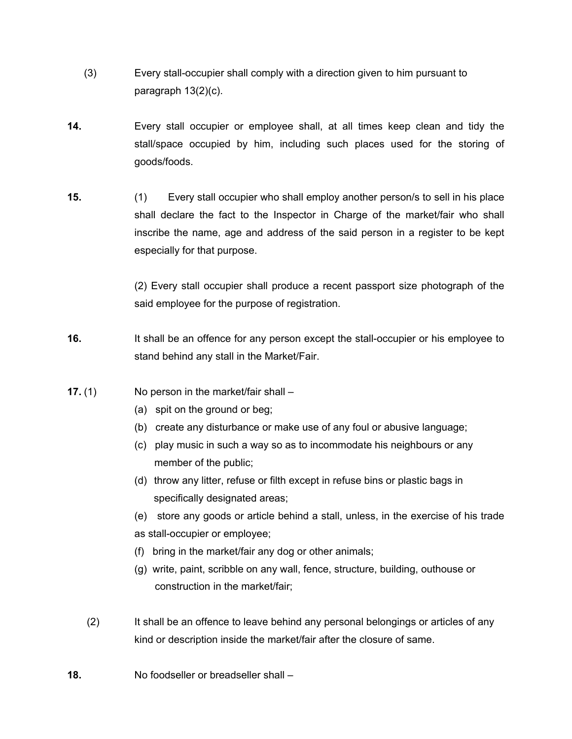- (3) Every stall-occupier shall comply with a direction given to him pursuant to paragraph 13(2)(c).
- **14.** Every stall occupier or employee shall, at all times keep clean and tidy the stall/space occupied by him, including such places used for the storing of goods/foods.
- **15.** (1) Every stall occupier who shall employ another person/s to sell in his place shall declare the fact to the Inspector in Charge of the market/fair who shall inscribe the name, age and address of the said person in a register to be kept especially for that purpose.

(2) Every stall occupier shall produce a recent passport size photograph of the said employee for the purpose of registration.

- **16.** It shall be an offence for any person except the stall-occupier or his employee to stand behind any stall in the Market/Fair.
- **17.** (1) No person in the market/fair shall
	- (a) spit on the ground or beg;
	- (b) create any disturbance or make use of any foul or abusive language;
	- (c) play music in such a way so as to incommodate his neighbours or any member of the public;
	- (d) throw any litter, refuse or filth except in refuse bins or plastic bags in specifically designated areas;

 (e) store any goods or article behind a stall, unless, in the exercise of his trade as stall-occupier or employee;

- (f) bring in the market/fair any dog or other animals;
- (g) write, paint, scribble on any wall, fence, structure, building, outhouse or construction in the market/fair;
- (2) It shall be an offence to leave behind any personal belongings or articles of any kind or description inside the market/fair after the closure of same.
- **18.** No foodseller or breadseller shall –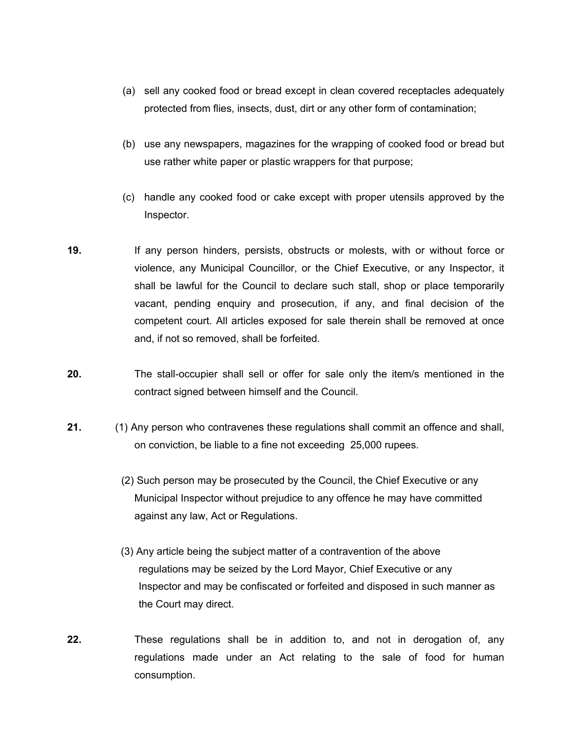- (a) sell any cooked food or bread except in clean covered receptacles adequately protected from flies, insects, dust, dirt or any other form of contamination;
- (b) use any newspapers, magazines for the wrapping of cooked food or bread but use rather white paper or plastic wrappers for that purpose;
- (c) handle any cooked food or cake except with proper utensils approved by the Inspector.
- **19.** If any person hinders, persists, obstructs or molests, with or without force or violence, any Municipal Councillor, or the Chief Executive, or any Inspector, it shall be lawful for the Council to declare such stall, shop or place temporarily vacant, pending enquiry and prosecution, if any, and final decision of the competent court. All articles exposed for sale therein shall be removed at once and, if not so removed, shall be forfeited.
- **20.** The stall-occupier shall sell or offer for sale only the item/s mentioned in the contract signed between himself and the Council.
- **21.** (1) Any person who contravenes these regulations shall commit an offence and shall, on conviction, be liable to a fine not exceeding 25,000 rupees.
	- (2) Such person may be prosecuted by the Council, the Chief Executive or any Municipal Inspector without prejudice to any offence he may have committed against any law, Act or Regulations.
	- (3) Any article being the subject matter of a contravention of the above regulations may be seized by the Lord Mayor, Chief Executive or any Inspector and may be confiscated or forfeited and disposed in such manner as the Court may direct.
- **22.** These regulations shall be in addition to, and not in derogation of, any regulations made under an Act relating to the sale of food for human consumption.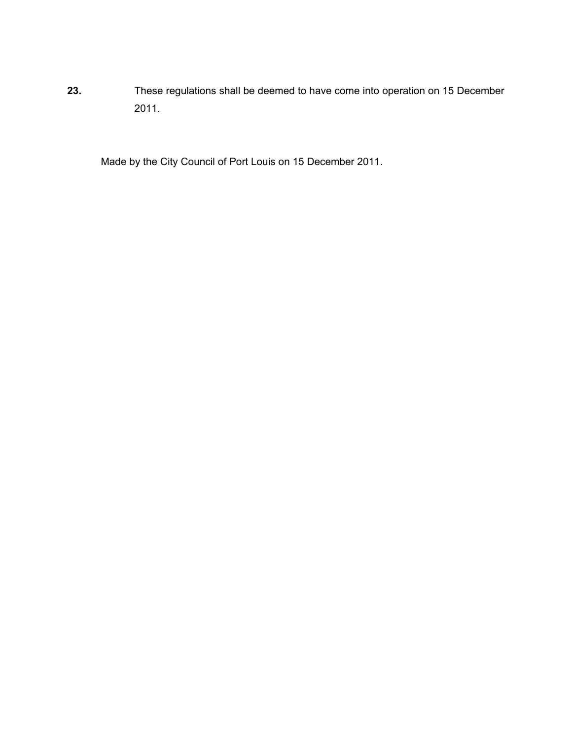**23.** These regulations shall be deemed to have come into operation on 15 December 2011.

Made by the City Council of Port Louis on 15 December 2011.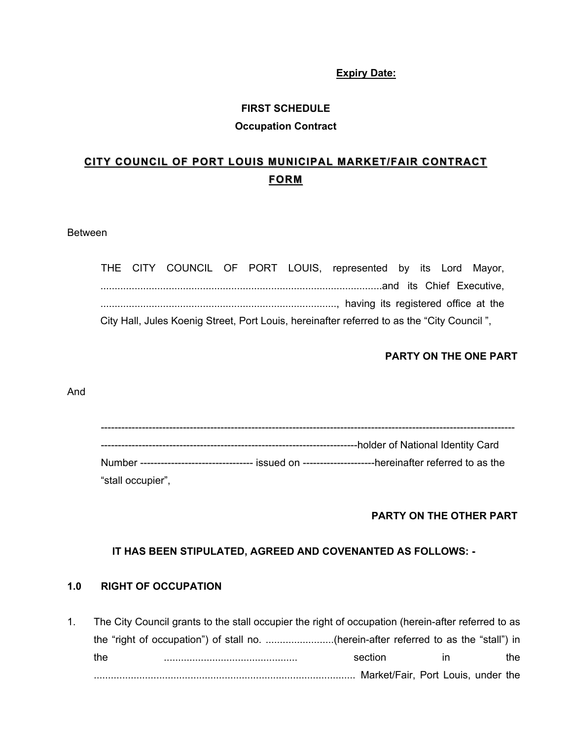#### **Expiry Date:**

#### **FIRST SCHEDULE**

#### **Occupation Contract**

# **CITY COUNCIL OF PORT LOUIS MUNICIPAL MARKET/FAIR CONTRACT FORM**

#### Between

|  |  |  | THE CITY COUNCIL OF PORT LOUIS, represented by its Lord Mayor,                             |  |  |
|--|--|--|--------------------------------------------------------------------------------------------|--|--|
|  |  |  |                                                                                            |  |  |
|  |  |  |                                                                                            |  |  |
|  |  |  | City Hall, Jules Koenig Street, Port Louis, hereinafter referred to as the "City Council", |  |  |

## **PARTY ON THE ONE PART**

#### And

|                   | ----holder of National Identity Card                                                                   |
|-------------------|--------------------------------------------------------------------------------------------------------|
|                   |                                                                                                        |
|                   | Number --------------------------------- issued on ---------------------hereinafter referred to as the |
| "stall occupier", |                                                                                                        |

## **PARTY ON THE OTHER PART**

## **IT HAS BEEN STIPULATED, AGREED AND COVENANTED AS FOLLOWS: -**

## **1.0 RIGHT OF OCCUPATION**

1. The City Council grants to the stall occupier the right of occupation (herein-after referred to as the "right of occupation") of stall no. ........................(herein-after referred to as the "stall") in the ............................................... section in the ............................................................................................ Market/Fair, Port Louis, under the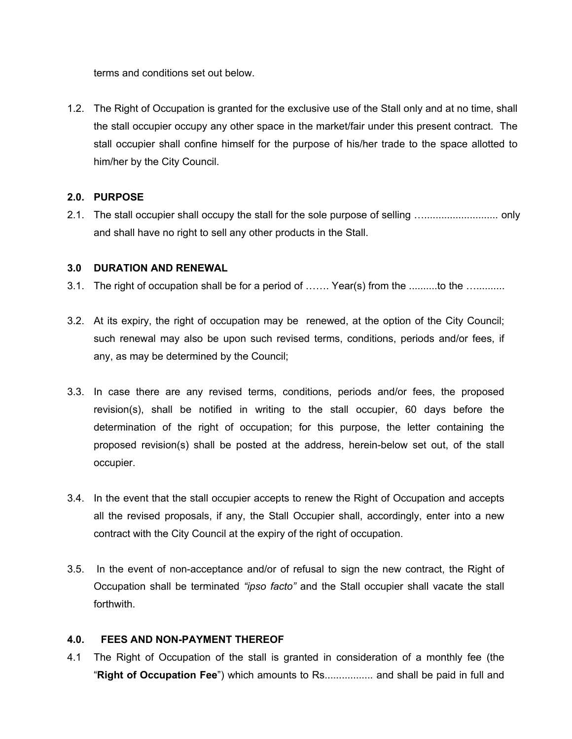terms and conditions set out below.

1.2. The Right of Occupation is granted for the exclusive use of the Stall only and at no time, shall the stall occupier occupy any other space in the market/fair under this present contract. The stall occupier shall confine himself for the purpose of his/her trade to the space allotted to him/her by the City Council.

## **2.0. PURPOSE**

2.1. The stall occupier shall occupy the stall for the sole purpose of selling ….......................... only and shall have no right to sell any other products in the Stall.

## **3.0 DURATION AND RENEWAL**

- 3.1. The right of occupation shall be for a period of ……. Year(s) from the ..........to the …..........
- 3.2. At its expiry, the right of occupation may be renewed, at the option of the City Council; such renewal may also be upon such revised terms, conditions, periods and/or fees, if any, as may be determined by the Council;
- 3.3. In case there are any revised terms, conditions, periods and/or fees, the proposed revision(s), shall be notified in writing to the stall occupier, 60 days before the determination of the right of occupation; for this purpose, the letter containing the proposed revision(s) shall be posted at the address, herein-below set out, of the stall occupier.
- 3.4. In the event that the stall occupier accepts to renew the Right of Occupation and accepts all the revised proposals, if any, the Stall Occupier shall, accordingly, enter into a new contract with the City Council at the expiry of the right of occupation.
- 3.5. In the event of non-acceptance and/or of refusal to sign the new contract, the Right of Occupation shall be terminated *"ipso facto"* and the Stall occupier shall vacate the stall forthwith.

## **4.0. FEES AND NON-PAYMENT THEREOF**

4.1 The Right of Occupation of the stall is granted in consideration of a monthly fee (the "**Right of Occupation Fee**") which amounts to Rs................. and shall be paid in full and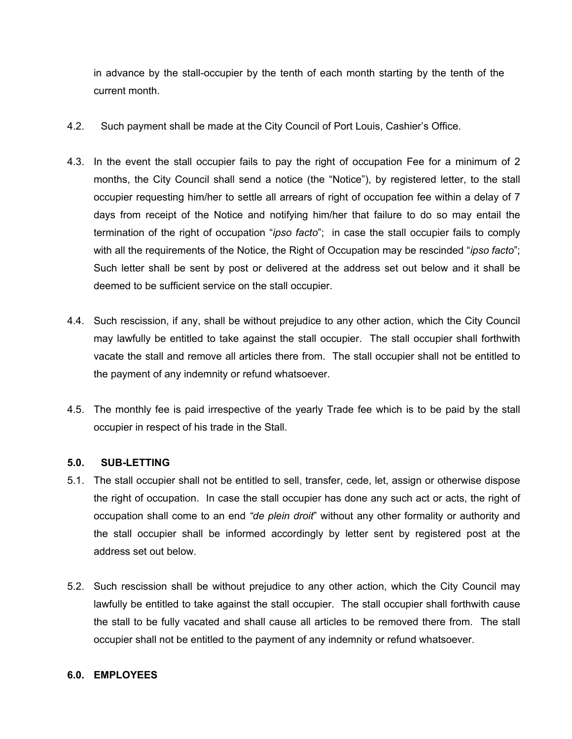in advance by the stall-occupier by the tenth of each month starting by the tenth of the current month.

- 4.2. Such payment shall be made at the City Council of Port Louis, Cashier's Office.
- 4.3. In the event the stall occupier fails to pay the right of occupation Fee for a minimum of 2 months, the City Council shall send a notice (the "Notice"), by registered letter, to the stall occupier requesting him/her to settle all arrears of right of occupation fee within a delay of 7 days from receipt of the Notice and notifying him/her that failure to do so may entail the termination of the right of occupation "*ipso facto*"; in case the stall occupier fails to comply with all the requirements of the Notice, the Right of Occupation may be rescinded "*ipso facto*"; Such letter shall be sent by post or delivered at the address set out below and it shall be deemed to be sufficient service on the stall occupier.
- 4.4. Such rescission, if any, shall be without prejudice to any other action, which the City Council may lawfully be entitled to take against the stall occupier. The stall occupier shall forthwith vacate the stall and remove all articles there from. The stall occupier shall not be entitled to the payment of any indemnity or refund whatsoever.
- 4.5. The monthly fee is paid irrespective of the yearly Trade fee which is to be paid by the stall occupier in respect of his trade in the Stall.

## **5.0. SUB-LETTING**

- 5.1. The stall occupier shall not be entitled to sell, transfer, cede, let, assign or otherwise dispose the right of occupation. In case the stall occupier has done any such act or acts, the right of occupation shall come to an end *"de plein droit*" without any other formality or authority and the stall occupier shall be informed accordingly by letter sent by registered post at the address set out below.
- 5.2. Such rescission shall be without prejudice to any other action, which the City Council may lawfully be entitled to take against the stall occupier. The stall occupier shall forthwith cause the stall to be fully vacated and shall cause all articles to be removed there from. The stall occupier shall not be entitled to the payment of any indemnity or refund whatsoever.

#### **6.0. EMPLOYEES**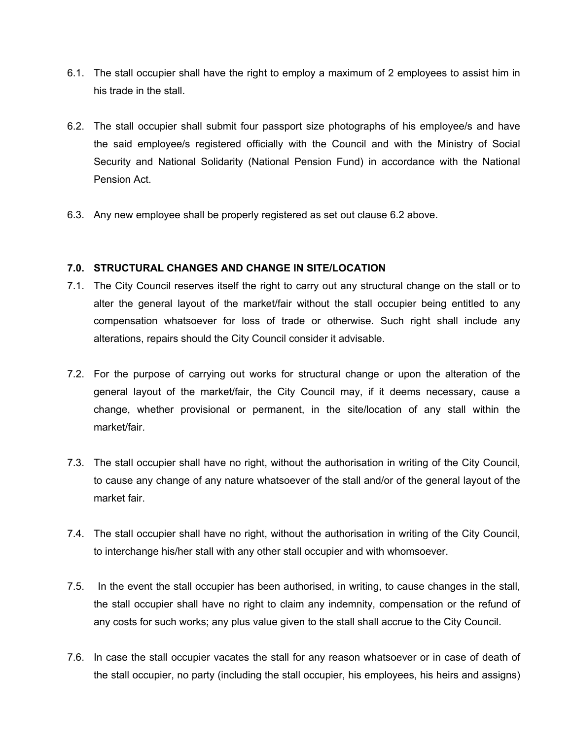- 6.1. The stall occupier shall have the right to employ a maximum of 2 employees to assist him in his trade in the stall.
- 6.2. The stall occupier shall submit four passport size photographs of his employee/s and have the said employee/s registered officially with the Council and with the Ministry of Social Security and National Solidarity (National Pension Fund) in accordance with the National Pension Act.
- 6.3. Any new employee shall be properly registered as set out clause 6.2 above.

## **7.0. STRUCTURAL CHANGES AND CHANGE IN SITE/LOCATION**

- 7.1. The City Council reserves itself the right to carry out any structural change on the stall or to alter the general layout of the market/fair without the stall occupier being entitled to any compensation whatsoever for loss of trade or otherwise. Such right shall include any alterations, repairs should the City Council consider it advisable.
- 7.2. For the purpose of carrying out works for structural change or upon the alteration of the general layout of the market/fair, the City Council may, if it deems necessary, cause a change, whether provisional or permanent, in the site/location of any stall within the market/fair.
- 7.3. The stall occupier shall have no right, without the authorisation in writing of the City Council, to cause any change of any nature whatsoever of the stall and/or of the general layout of the market fair.
- 7.4. The stall occupier shall have no right, without the authorisation in writing of the City Council, to interchange his/her stall with any other stall occupier and with whomsoever.
- 7.5. In the event the stall occupier has been authorised, in writing, to cause changes in the stall, the stall occupier shall have no right to claim any indemnity, compensation or the refund of any costs for such works; any plus value given to the stall shall accrue to the City Council.
- 7.6. In case the stall occupier vacates the stall for any reason whatsoever or in case of death of the stall occupier, no party (including the stall occupier, his employees, his heirs and assigns)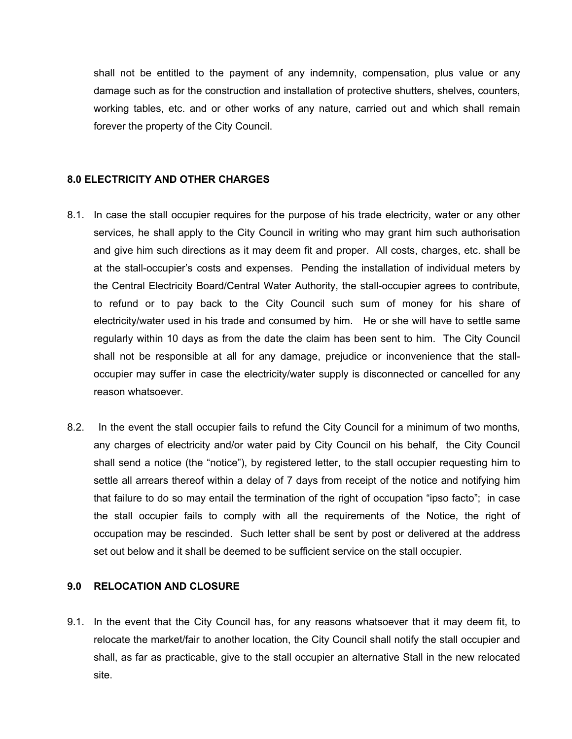shall not be entitled to the payment of any indemnity, compensation, plus value or any damage such as for the construction and installation of protective shutters, shelves, counters, working tables, etc. and or other works of any nature, carried out and which shall remain forever the property of the City Council.

#### **8.0 ELECTRICITY AND OTHER CHARGES**

- 8.1. In case the stall occupier requires for the purpose of his trade electricity, water or any other services, he shall apply to the City Council in writing who may grant him such authorisation and give him such directions as it may deem fit and proper. All costs, charges, etc. shall be at the stall-occupier's costs and expenses. Pending the installation of individual meters by the Central Electricity Board/Central Water Authority, the stall-occupier agrees to contribute, to refund or to pay back to the City Council such sum of money for his share of electricity/water used in his trade and consumed by him. He or she will have to settle same regularly within 10 days as from the date the claim has been sent to him. The City Council shall not be responsible at all for any damage, prejudice or inconvenience that the stalloccupier may suffer in case the electricity/water supply is disconnected or cancelled for any reason whatsoever.
- 8.2. In the event the stall occupier fails to refund the City Council for a minimum of two months, any charges of electricity and/or water paid by City Council on his behalf, the City Council shall send a notice (the "notice"), by registered letter, to the stall occupier requesting him to settle all arrears thereof within a delay of 7 days from receipt of the notice and notifying him that failure to do so may entail the termination of the right of occupation "ipso facto"; in case the stall occupier fails to comply with all the requirements of the Notice, the right of occupation may be rescinded. Such letter shall be sent by post or delivered at the address set out below and it shall be deemed to be sufficient service on the stall occupier.

#### **9.0 RELOCATION AND CLOSURE**

9.1. In the event that the City Council has, for any reasons whatsoever that it may deem fit, to relocate the market/fair to another location, the City Council shall notify the stall occupier and shall, as far as practicable, give to the stall occupier an alternative Stall in the new relocated site.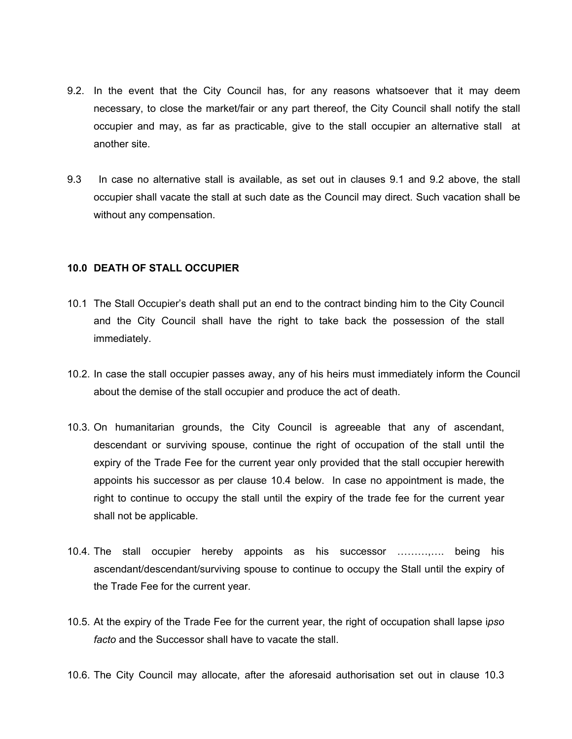- 9.2. In the event that the City Council has, for any reasons whatsoever that it may deem necessary, to close the market/fair or any part thereof, the City Council shall notify the stall occupier and may, as far as practicable, give to the stall occupier an alternative stall at another site.
- 9.3 In case no alternative stall is available, as set out in clauses 9.1 and 9.2 above, the stall occupier shall vacate the stall at such date as the Council may direct. Such vacation shall be without any compensation.

#### **10.0 DEATH OF STALL OCCUPIER**

- 10.1 The Stall Occupier's death shall put an end to the contract binding him to the City Council and the City Council shall have the right to take back the possession of the stall immediately.
- 10.2. In case the stall occupier passes away, any of his heirs must immediately inform the Council about the demise of the stall occupier and produce the act of death.
- 10.3. On humanitarian grounds, the City Council is agreeable that any of ascendant, descendant or surviving spouse, continue the right of occupation of the stall until the expiry of the Trade Fee for the current year only provided that the stall occupier herewith appoints his successor as per clause 10.4 below. In case no appointment is made, the right to continue to occupy the stall until the expiry of the trade fee for the current year shall not be applicable.
- 10.4. The stall occupier hereby appoints as his successor ………,…. being his ascendant/descendant/surviving spouse to continue to occupy the Stall until the expiry of the Trade Fee for the current year.
- 10.5. At the expiry of the Trade Fee for the current year, the right of occupation shall lapse i*pso facto* and the Successor shall have to vacate the stall.
- 10.6. The City Council may allocate, after the aforesaid authorisation set out in clause 10.3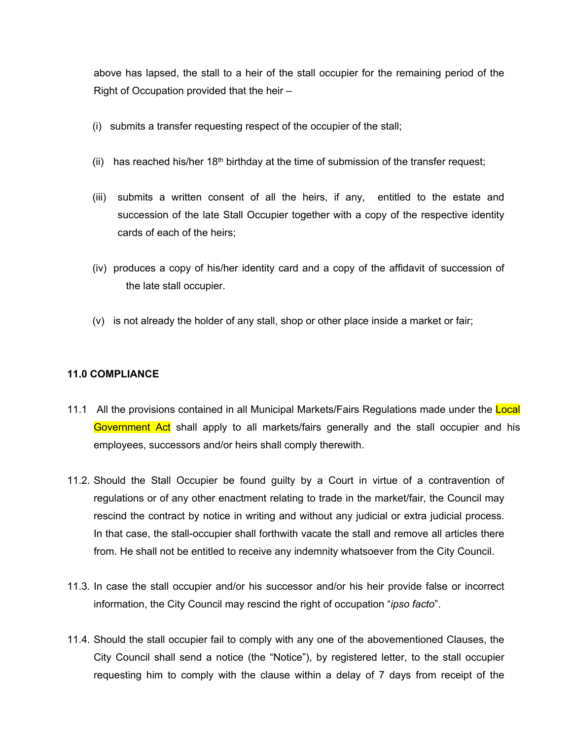above has lapsed, the stall to a heir of the stall occupier for the remaining period of the Right of Occupation provided that the heir –

- (i) submits a transfer requesting respect of the occupier of the stall;
- (ii) has reached his/her  $18<sup>th</sup>$  birthday at the time of submission of the transfer request;
- (iii) submits a written consent of all the heirs, if any, entitled to the estate and succession of the late Stall Occupier together with a copy of the respective identity cards of each of the heirs;
- (iv) produces a copy of his/her identity card and a copy of the affidavit of succession of the late stall occupier.
- (v) is not already the holder of any stall, shop or other place inside a market or fair;

## **11.0 COMPLIANCE**

- 11.1 All the provisions contained in all Municipal Markets/Fairs Regulations made under the Local Government Act shall apply to all markets/fairs generally and the stall occupier and his employees, successors and/or heirs shall comply therewith.
- 11.2. Should the Stall Occupier be found guilty by a Court in virtue of a contravention of regulations or of any other enactment relating to trade in the market/fair, the Council may rescind the contract by notice in writing and without any judicial or extra judicial process. In that case, the stall-occupier shall forthwith vacate the stall and remove all articles there from. He shall not be entitled to receive any indemnity whatsoever from the City Council.
- 11.3. In case the stall occupier and/or his successor and/or his heir provide false or incorrect information, the City Council may rescind the right of occupation "*ipso facto*".
- 11.4. Should the stall occupier fail to comply with any one of the abovementioned Clauses, the City Council shall send a notice (the "Notice"), by registered letter, to the stall occupier requesting him to comply with the clause within a delay of 7 days from receipt of the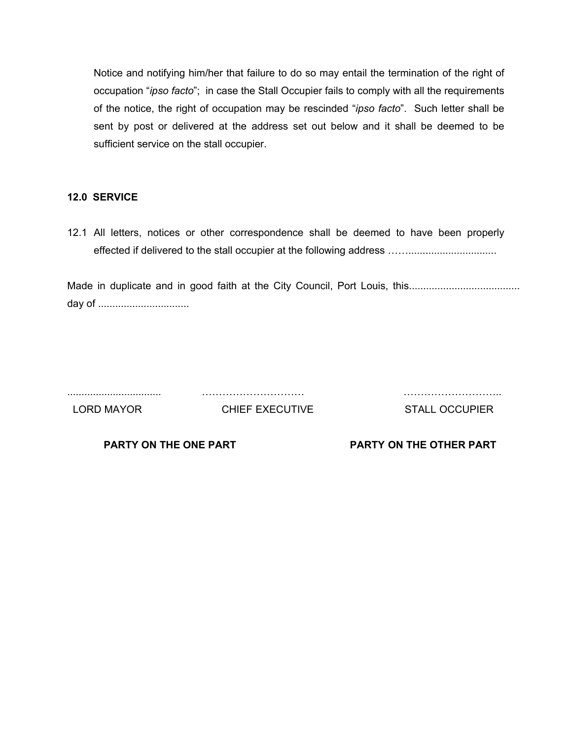Notice and notifying him/her that failure to do so may entail the termination of the right of occupation "*ipso facto*"; in case the Stall Occupier fails to comply with all the requirements of the notice, the right of occupation may be rescinded "*ipso facto*". Such letter shall be sent by post or delivered at the address set out below and it shall be deemed to be sufficient service on the stall occupier.

## **12.0 SERVICE**

12.1 All letters, notices or other correspondence shall be deemed to have been properly effected if delivered to the stall occupier at the following address ……...............................

Made in duplicate and in good faith at the City Council, Port Louis, this....................................... day of ................................

................................. ………………………… ………………………..

LORD MAYOR CHIEF EXECUTIVE STALL OCCUPIER

**PARTY ON THE ONE PART PARTY ON THE OTHER PART**